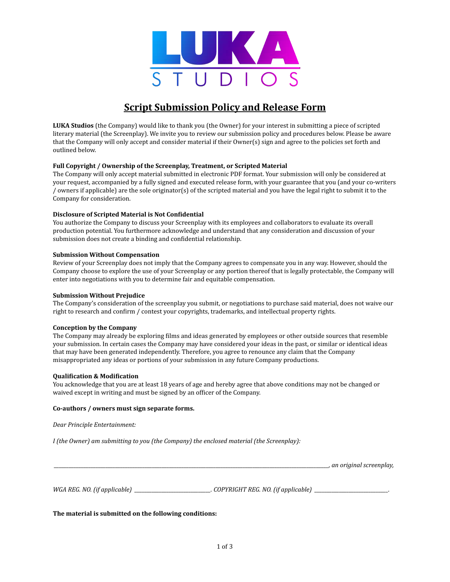

# **Script Submission Policy and Release Form**

**LUKA Studios** (the Company) would like to thank you (the Owner) for your interest in submitting a piece of scripted literary material (the Screenplay). We invite you to review our submission policy and procedures below. Please be aware that the Company will only accept and consider material if their Owner(s) sign and agree to the policies set forth and outlined below.

### **Full Copyright / Ownership of the Screenplay, Treatment, or Scripted Material**

The Company will only accept material submitted in electronic PDF format. Your submission will only be considered at your request, accompanied by a fully signed and executed release form, with your guarantee that you (and your co-writers / owners if applicable) are the sole originator(s) of the scripted material and you have the legal right to submit it to the Company for consideration.

### **Disclosure of Scripted Material is Not ConFidential**

You authorize the Company to discuss your Screenplay with its employees and collaborators to evaluate its overall production potential. You furthermore acknowledge and understand that any consideration and discussion of your submission does not create a binding and confidential relationship.

#### **Submission Without Compensation**

Review of your Screenplay does not imply that the Company agrees to compensate you in any way. However, should the Company choose to explore the use of your Screenplay or any portion thereof that is legally protectable, the Company will enter into negotiations with you to determine fair and equitable compensation.

#### **Submission Without Prejudice**

The Company's consideration of the screenplay you submit, or negotiations to purchase said material, does not waive our right to research and confirm / contest your copyrights, trademarks, and intellectual property rights.

#### **Conception by the Company**

The Company may already be exploring films and ideas generated by employees or other outside sources that resemble your submission. In certain cases the Company may have considered your ideas in the past, or similar or identical ideas that may have been generated independently. Therefore, you agree to renounce any claim that the Company misappropriated any ideas or portions of your submission in any future Company productions.

#### **QualiFication & ModiFication**

You acknowledge that you are at least 18 years of age and hereby agree that above conditions may not be changed or waived except in writing and must be signed by an officer of the Company.

#### **Co-authors / owners must sign separate forms.**

*Dear Principle Entertainment:*

*I (the Owner) am submitting to you (the Company) the enclosed material (the Screenplay):*

 *\_\_\_\_\_\_\_\_\_\_\_\_\_\_\_\_\_\_\_\_\_\_\_\_\_\_\_\_\_\_\_\_\_\_\_\_\_\_\_\_\_\_\_\_\_\_\_\_\_\_\_\_\_\_\_\_\_\_\_\_\_\_\_\_\_\_\_\_\_\_\_\_\_\_\_\_\_\_\_\_\_\_\_\_\_\_\_\_\_\_\_\_\_\_\_\_\_\_\_\_\_\_\_\_\_\_\_\_\_\_\_\_, an original screenplay,*

*WGA REG. NO. (if applicable) \_\_\_\_\_\_\_\_\_\_\_\_\_\_\_\_\_\_\_\_\_\_\_\_\_\_\_\_\_\_\_. COPYRIGHT REG. NO. (if applicable) \_\_\_\_\_\_\_\_\_\_\_\_\_\_\_\_\_\_\_\_\_\_\_\_\_\_\_\_\_\_.* 

**The material is submitted on the following conditions:**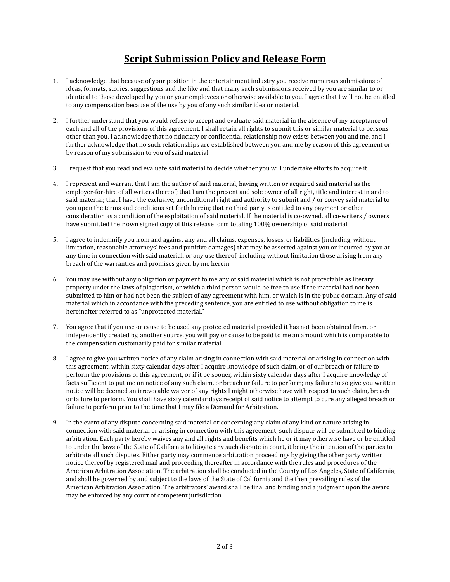# **Script Submission Policy and Release Form**

- 1. I acknowledge that because of your position in the entertainment industry you receive numerous submissions of ideas, formats, stories, suggestions and the like and that many such submissions received by you are similar to or identical to those developed by you or your employees or otherwise available to you. I agree that I will not be entitled to any compensation because of the use by you of any such similar idea or material.
- 2. I further understand that you would refuse to accept and evaluate said material in the absence of my acceptance of each and all of the provisions of this agreement. I shall retain all rights to submit this or similar material to persons other than you. I acknowledge that no fiduciary or confidential relationship now exists between you and me, and I further acknowledge that no such relationships are established between you and me by reason of this agreement or by reason of my submission to you of said material.
- 3. I request that you read and evaluate said material to decide whether you will undertake efforts to acquire it.
- 4. I represent and warrant that I am the author of said material, having written or acquired said material as the employer-for-hire of all writers thereof; that I am the present and sole owner of all right, title and interest in and to said material; that I have the exclusive, unconditional right and authority to submit and / or convey said material to you upon the terms and conditions set forth herein; that no third party is entitled to any payment or other consideration as a condition of the exploitation of said material. If the material is co-owned, all co-writers / owners have submitted their own signed copy of this release form totaling 100% ownership of said material.
- 5. I agree to indemnify you from and against any and all claims, expenses, losses, or liabilities (including, without limitation, reasonable attorneys' fees and punitive damages) that may be asserted against you or incurred by you at any time in connection with said material, or any use thereof, including without limitation those arising from any breach of the warranties and promises given by me herein.
- 6. You may use without any obligation or payment to me any of said material which is not protectable as literary property under the laws of plagiarism, or which a third person would be free to use if the material had not been submitted to him or had not been the subject of any agreement with him, or which is in the public domain. Any of said material which in accordance with the preceding sentence, you are entitled to use without obligation to me is hereinafter referred to as "unprotected material."
- 7. You agree that if you use or cause to be used any protected material provided it has not been obtained from, or independently created by, another source, you will pay or cause to be paid to me an amount which is comparable to the compensation customarily paid for similar material.
- 8. I agree to give you written notice of any claim arising in connection with said material or arising in connection with this agreement, within sixty calendar days after I acquire knowledge of such claim, or of our breach or failure to perform the provisions of this agreement, or if it be sooner, within sixty calendar days after I acquire knowledge of facts sufficient to put me on notice of any such claim, or breach or failure to perform; my failure to so give you written notice will be deemed an irrevocable waiver of any rights I might otherwise have with respect to such claim, breach or failure to perform. You shall have sixty calendar days receipt of said notice to attempt to cure any alleged breach or failure to perform prior to the time that I may file a Demand for Arbitration.
- 9. In the event of any dispute concerning said material or concerning any claim of any kind or nature arising in connection with said material or arising in connection with this agreement, such dispute will be submitted to binding arbitration. Each party hereby waives any and all rights and benefits which he or it may otherwise have or be entitled to under the laws of the State of California to litigate any such dispute in court, it being the intention of the parties to arbitrate all such disputes. Either party may commence arbitration proceedings by giving the other party written notice thereof by registered mail and proceeding thereafter in accordance with the rules and procedures of the American Arbitration Association. The arbitration shall be conducted in the County of Los Angeles, State of California, and shall be governed by and subject to the laws of the State of California and the then prevailing rules of the American Arbitration Association. The arbitrators' award shall be final and binding and a judgment upon the award may be enforced by any court of competent jurisdiction.